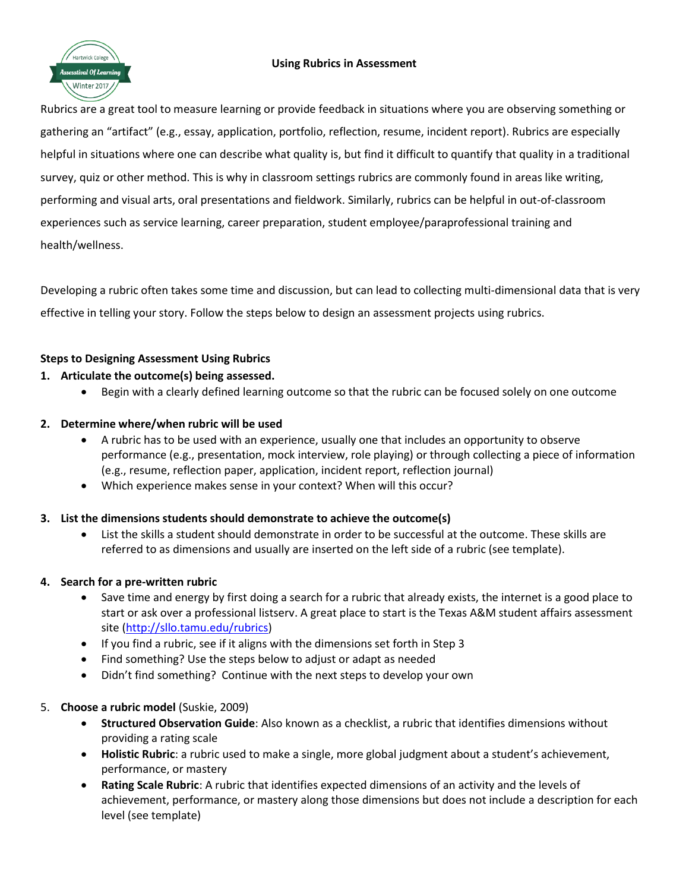#### **Using Rubrics in Assessment**



# Rubrics are a great tool to measure learning or provide feedback in situations where you are observing something or gathering an "artifact" (e.g., essay, application, portfolio, reflection, resume, incident report). Rubrics are especially helpful in situations where one can describe what quality is, but find it difficult to quantify that quality in a traditional survey, quiz or other method. This is why in classroom settings rubrics are commonly found in areas like writing, performing and visual arts, oral presentations and fieldwork. Similarly, rubrics can be helpful in out-of-classroom experiences such as service learning, career preparation, student employee/paraprofessional training and health/wellness.

Developing a rubric often takes some time and discussion, but can lead to collecting multi-dimensional data that is very effective in telling your story. Follow the steps below to design an assessment projects using rubrics.

# **Steps to Designing Assessment Using Rubrics**

# **1. Articulate the outcome(s) being assessed.**

Begin with a clearly defined learning outcome so that the rubric can be focused solely on one outcome

## **2. Determine where/when rubric will be used**

- A rubric has to be used with an experience, usually one that includes an opportunity to observe performance (e.g., presentation, mock interview, role playing) or through collecting a piece of information (e.g., resume, reflection paper, application, incident report, reflection journal)
- Which experience makes sense in your context? When will this occur?

## **3. List the dimensions students should demonstrate to achieve the outcome(s)**

 List the skills a student should demonstrate in order to be successful at the outcome. These skills are referred to as dimensions and usually are inserted on the left side of a rubric (see template).

## **4. Search for a pre-written rubric**

- Save time and energy by first doing a search for a rubric that already exists, the internet is a good place to start or ask over a professional listserv. A great place to start is the Texas A&M student affairs assessment site [\(http://sllo.tamu.edu/rubrics\)](http://sllo.tamu.edu/rubrics)
- If you find a rubric, see if it aligns with the dimensions set forth in Step 3
- Find something? Use the steps below to adjust or adapt as needed
- Didn't find something? Continue with the next steps to develop your own

## 5. **Choose a rubric model** (Suskie, 2009)

- **Structured Observation Guide**: Also known as a checklist, a rubric that identifies dimensions without providing a rating scale
- **Holistic Rubric**: a rubric used to make a single, more global judgment about a student's achievement, performance, or mastery
- **Rating Scale Rubric**: A rubric that identifies expected dimensions of an activity and the levels of achievement, performance, or mastery along those dimensions but does not include a description for each level (see template)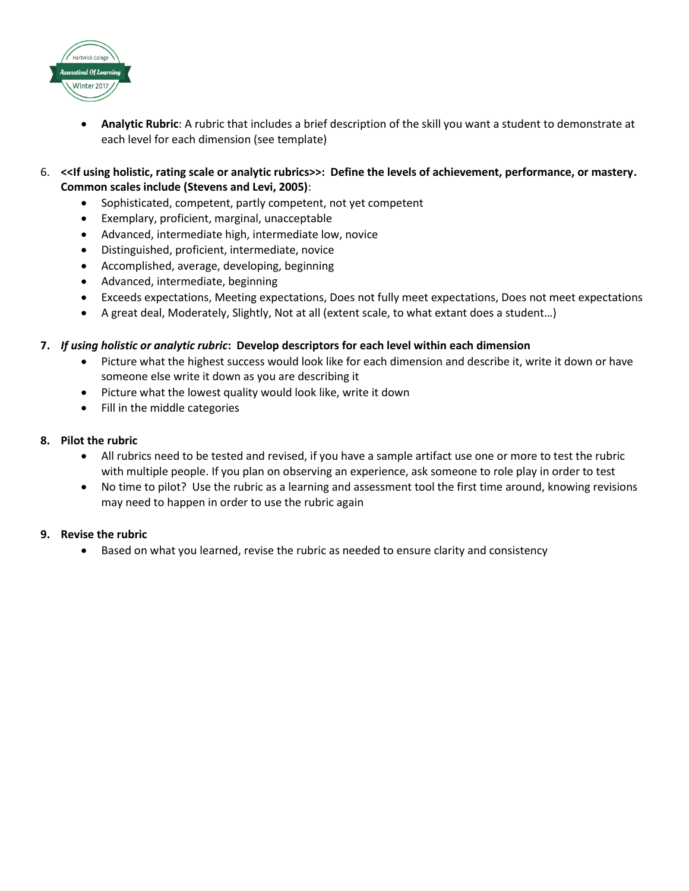

- **Analytic Rubric**: A rubric that includes a brief description of the skill you want a student to demonstrate at each level for each dimension (see template)
- 6. **<<If using holistic, rating scale or analytic rubrics>>: Define the levels of achievement, performance, or mastery. Common scales include (Stevens and Levi, 2005)**:
	- Sophisticated, competent, partly competent, not yet competent
	- Exemplary, proficient, marginal, unacceptable
	- Advanced, intermediate high, intermediate low, novice
	- Distinguished, proficient, intermediate, novice
	- Accomplished, average, developing, beginning
	- Advanced, intermediate, beginning
	- Exceeds expectations, Meeting expectations, Does not fully meet expectations, Does not meet expectations
	- A great deal, Moderately, Slightly, Not at all (extent scale, to what extant does a student…)

#### **7.** *If using holistic or analytic rubric***: Develop descriptors for each level within each dimension**

- Picture what the highest success would look like for each dimension and describe it, write it down or have someone else write it down as you are describing it
- Picture what the lowest quality would look like, write it down
- Fill in the middle categories

#### **8. Pilot the rubric**

- All rubrics need to be tested and revised, if you have a sample artifact use one or more to test the rubric with multiple people. If you plan on observing an experience, ask someone to role play in order to test
- No time to pilot? Use the rubric as a learning and assessment tool the first time around, knowing revisions may need to happen in order to use the rubric again

#### **9. Revise the rubric**

Based on what you learned, revise the rubric as needed to ensure clarity and consistency